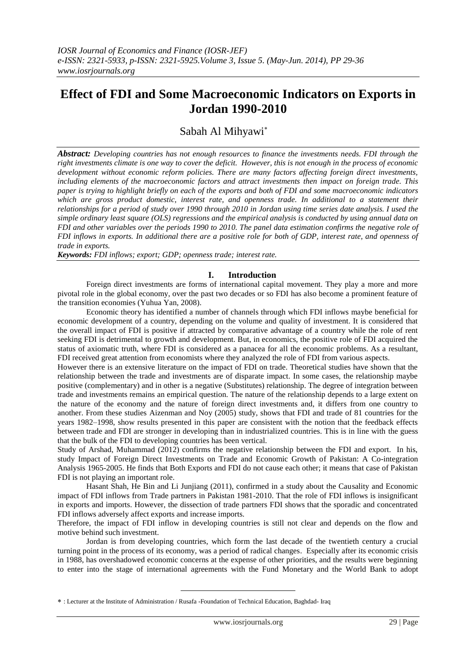## **Effect of FDI and Some Macroeconomic Indicators on Exports in Jordan 1990-2010**

### Sabah Al Mihyawi

*Abstract: Developing countries has not enough resources to finance the investments needs. FDI through the right investments climate is one way to cover the deficit. However, this is not enough in the process of economic development without economic reform policies. There are many factors affecting foreign direct investments, including elements of the macroeconomic factors and attract investments then impact on foreign trade. This paper is trying to highlight briefly on each of the exports and both of FDI and some macroeconomic indicators which are gross product domestic, interest rate, and openness trade. In additional to a statement their relationships for a period of study over 1990 through 2010 in Jordan using time series date analysis. I used the simple ordinary least square (OLS) regressions and the empirical analysis is conducted by using annual data on FDI and other variables over the periods 1990 to 2010. The panel data estimation confirms the negative role of FDI inflows in exports. In additional there are a positive role for both of GDP, interest rate, and openness of trade in exports.* 

*Keywords: FDI inflows; export; GDP; openness trade; interest rate.*

#### **I. Introduction**

Foreign direct investments are forms of international capital movement. They play a more and more pivotal role in the global economy, over the past two decades or so FDI has also become a prominent feature of the transition economies (Yuhua Yan, 2008).

Economic theory has identified a number of channels through which FDI inflows maybe beneficial for economic development of a country, depending on the volume and quality of investment. It is considered that the overall impact of FDI is positive if attracted by comparative advantage of a country while the role of rent seeking FDI is detrimental to growth and development. But, in economics, the positive role of FDI acquired the status of axiomatic truth, where FDI is considered as a panacea for all the economic problems. As a resultant, FDI received great attention from economists where they analyzed the role of FDI from various aspects.

However there is an extensive literature on the impact of FDI on trade. Theoretical studies have shown that the relationship between the trade and investments are of disparate impact. In some cases, the relationship maybe positive (complementary) and in other is a negative (Substitutes) relationship. The degree of integration between trade and investments remains an empirical question. The nature of the relationship depends to a large extent on the nature of the economy and the nature of foreign direct investments and, it differs from one country to another. From these studies Aizenman and Noy (2005) study, shows that FDI and trade of 81 countries for the years 1982–1998, show results presented in this paper are consistent with the notion that the feedback effects between trade and FDI are stronger in developing than in industrialized countries. This is in line with the guess that the bulk of the FDI to developing countries has been vertical.

Study of Arshad, Muhammad (2012) confirms the negative relationship between the FDI and export. In his, study Impact of Foreign Direct Investments on Trade and Economic Growth of Pakistan: A Co-integration Analysis 1965-2005. He finds that Both Exports and FDI do not cause each other; it means that case of Pakistan FDI is not playing an important role.

Hasant Shah, He Bin and Li Junjiang (2011), confirmed in a study about the Causality and Economic impact of FDI inflows from Trade partners in Pakistan 1981-2010. That the role of FDI inflows is insignificant in exports and imports. However, the dissection of trade partners FDI shows that the sporadic and concentrated FDI inflows adversely affect exports and increase imports.

Therefore, the impact of FDI inflow in developing countries is still not clear and depends on the flow and motive behind such investment.

Jordan is from developing countries, which form the last decade of the twentieth century a crucial turning point in the process of its economy, was a period of radical changes. Especially after its economic crisis in 1988, has overshadowed economic concerns at the expense of other priorities, and the results were beginning to enter into the stage of international agreements with the Fund Monetary and the World Bank to adopt

-

: Lecturer at the Institute of Administration / Rusafa -Foundation of Technical Education, Baghdad- Iraq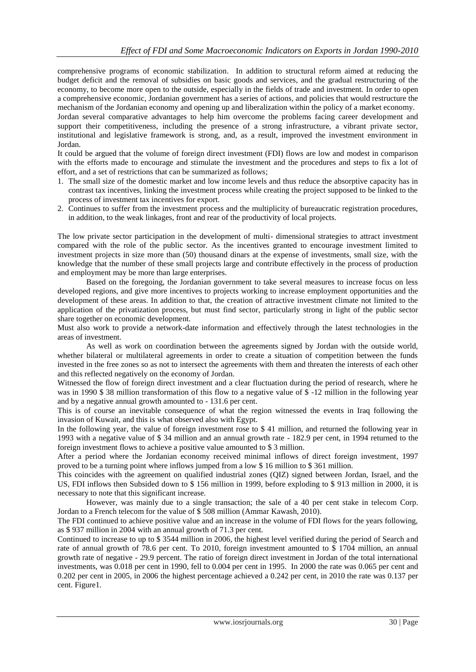comprehensive programs of economic stabilization. In addition to structural reform aimed at reducing the budget deficit and the removal of subsidies on basic goods and services, and the gradual restructuring of the economy, to become more open to the outside, especially in the fields of trade and investment. In order to open a comprehensive economic, Jordanian government has a series of actions, and policies that would restructure the mechanism of the Jordanian economy and opening up and liberalization within the policy of a market economy.

Jordan several comparative advantages to help him overcome the problems facing career development and support their competitiveness, including the presence of a strong infrastructure, a vibrant private sector, institutional and legislative framework is strong, and, as a result, improved the investment environment in Jordan.

It could be argued that the volume of foreign direct investment (FDI) flows are low and modest in comparison with the efforts made to encourage and stimulate the investment and the procedures and steps to fix a lot of effort, and a set of restrictions that can be summarized as follows;

- 1. The small size of the domestic market and low income levels and thus reduce the absorptive capacity has in contrast tax incentives, linking the investment process while creating the project supposed to be linked to the process of investment tax incentives for export.
- 2. Continues to suffer from the investment process and the multiplicity of bureaucratic registration procedures, in addition, to the weak linkages, front and rear of the productivity of local projects.

The low private sector participation in the development of multi- dimensional strategies to attract investment compared with the role of the public sector. As the incentives granted to encourage investment limited to investment projects in size more than (50) thousand dinars at the expense of investments, small size, with the knowledge that the number of these small projects large and contribute effectively in the process of production and employment may be more than large enterprises.

Based on the foregoing, the Jordanian government to take several measures to increase focus on less developed regions, and give more incentives to projects working to increase employment opportunities and the development of these areas. In addition to that, the creation of attractive investment climate not limited to the application of the privatization process, but must find sector, particularly strong in light of the public sector share together on economic development.

Must also work to provide a network-date information and effectively through the latest technologies in the areas of investment.

As well as work on coordination between the agreements signed by Jordan with the outside world, whether bilateral or multilateral agreements in order to create a situation of competition between the funds invested in the free zones so as not to intersect the agreements with them and threaten the interests of each other and this reflected negatively on the economy of Jordan.

Witnessed the flow of foreign direct investment and a clear fluctuation during the period of research, where he was in 1990 \$38 million transformation of this flow to a negative value of \$-12 million in the following year and by a negative annual growth amounted to - 131.6 per cent.

This is of course an inevitable consequence of what the region witnessed the events in Iraq following the invasion of Kuwait, and this is what observed also with Egypt.

In the following year, the value of foreign investment rose to \$ 41 million, and returned the following year in 1993 with a negative value of \$ 34 million and an annual growth rate - 182.9 per cent, in 1994 returned to the foreign investment flows to achieve a positive value amounted to \$ 3 million.

After a period where the Jordanian economy received minimal inflows of direct foreign investment, 1997 proved to be a turning point where inflows jumped from a low \$ 16 million to \$ 361 million.

This coincides with the agreement on qualified industrial zones (QIZ) signed between Jordan, Israel, and the US, FDI inflows then Subsided down to \$ 156 million in 1999, before exploding to \$ 913 million in 2000, it is necessary to note that this significant increase.

However, was mainly due to a single transaction; the sale of a 40 per cent stake in telecom Corp. Jordan to a French telecom for the value of \$ 508 million (Ammar Kawash, 2010).

The FDI continued to achieve positive value and an increase in the volume of FDI flows for the years following, as \$ 937 million in 2004 with an annual growth of 71.3 per cent.

Continued to increase to up to \$ 3544 million in 2006, the highest level verified during the period of Search and rate of annual growth of 78.6 per cent. To 2010, foreign investment amounted to \$ 1704 million, an annual growth rate of negative - 29.9 percent. The ratio of foreign direct investment in Jordan of the total international investments, was 0.018 per cent in 1990, fell to 0.004 per cent in 1995. In 2000 the rate was 0.065 per cent and 0.202 per cent in 2005, in 2006 the highest percentage achieved a 0.242 per cent, in 2010 the rate was 0.137 per cent. Figure1.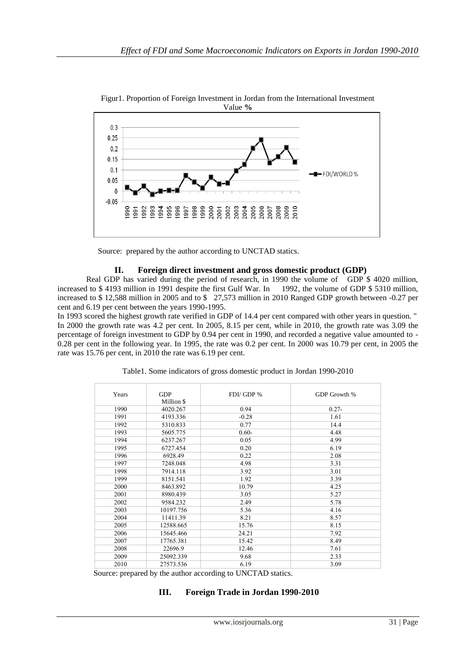

Figur1. Proportion of Foreign Investment in Jordan from the International Investment Value **%**

Source: prepared by the author according to UNCTAD statics.

#### **II. Foreign direct investment and gross domestic product (GDP)**

Real GDP has varied during the period of research, in 1990 the volume of GDP \$ 4020 million, increased to \$ 4193 million in 1991 despite the first Gulf War. In 1992, the volume of GDP \$ 5310 million, increased to \$ 12,588 million in 2005 and to \$ 27,573 million in 2010 Ranged GDP growth between -0.27 per cent and 6.19 per cent between the years 1990-1995.

In 1993 scored the highest growth rate verified in GDP of 14.4 per cent compared with other years in question. " In 2000 the growth rate was 4.2 per cent. In 2005, 8.15 per cent, while in 2010, the growth rate was 3.09 the percentage of foreign investment to GDP by 0.94 per cent in 1990, and recorded a negative value amounted to - 0.28 per cent in the following year. In 1995, the rate was 0.2 per cent. In 2000 was 10.79 per cent, in 2005 the rate was 15.76 per cent, in 2010 the rate was 6.19 per cent.

| Years | <b>GDP</b><br>Million \$ | FDI/GDP % | GDP Growth % |
|-------|--------------------------|-----------|--------------|
| 1990  | 4020.267                 | 0.94      | $0.27 -$     |
| 1991  | 4193.336                 | $-0.28$   | 1.61         |
| 1992  | 5310.833                 | 0.77      | 14.4         |
| 1993  | 5605.775                 | $0.60 -$  | 4.48         |
| 1994  | 6237.267                 | 0.05      | 4.99         |
| 1995  | 6727.454                 | 0.20      | 6.19         |
| 1996  | 6928.49                  | 0.22      | 2.08         |
| 1997  | 7248.048                 | 4.98      | 3.31         |
| 1998  | 7914.118                 | 3.92      | 3.01         |
| 1999  | 8151.541                 | 1.92      | 3.39         |
| 2000  | 8463.892                 | 10.79     | 4.25         |
| 2001  | 8980.439                 | 3.05      | 5.27         |
| 2002  | 9584.232                 | 2.49      | 5.78         |
| 2003  | 10197.756                | 5.36      | 4.16         |
| 2004  | 11411.39                 | 8.21      | 8.57         |
| 2005  | 12588.665                | 15.76     | 8.15         |
| 2006  | 15645.466                | 24.21     | 7.92         |
| 2007  | 17765.381                | 15.42     | 8.49         |
| 2008  | 22696.9                  | 12.46     | 7.61         |
| 2009  | 25092.339                | 9.68      | 2.33         |
| 2010  | 27573.536                | 6.19      | 3.09         |

Source: prepared by the author according to UNCTAD statics.

#### **III. Foreign Trade in Jordan 1990-2010**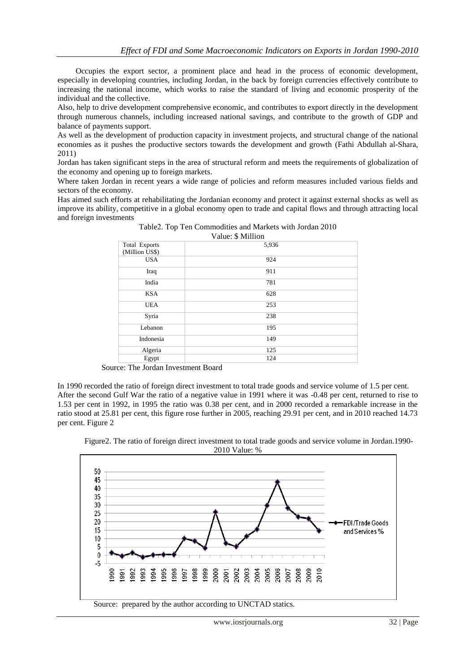Occupies the export sector, a prominent place and head in the process of economic development, especially in developing countries, including Jordan, in the back by foreign currencies effectively contribute to increasing the national income, which works to raise the standard of living and economic prosperity of the individual and the collective.

Also, help to drive development comprehensive economic, and contributes to export directly in the development through numerous channels, including increased national savings, and contribute to the growth of GDP and balance of payments support.

As well as the development of production capacity in investment projects, and structural change of the national economies as it pushes the productive sectors towards the development and growth (Fathi Abdullah al-Shara, 2011)

Jordan has taken significant steps in the area of structural reform and meets the requirements of globalization of the economy and opening up to foreign markets.

Where taken Jordan in recent years a wide range of policies and reform measures included various fields and sectors of the economy.

Has aimed such efforts at rehabilitating the Jordanian economy and protect it against external shocks as well as improve its ability, competitive in a global economy open to trade and capital flows and through attracting local and foreign investments

| Total Exports  | 5,936 |
|----------------|-------|
| (Million US\$) |       |
| <b>USA</b>     | 924   |
| Iraq           | 911   |
| India          | 781   |
| <b>KSA</b>     | 628   |
| <b>UEA</b>     | 253   |
| Syria          | 238   |
| Lebanon        | 195   |
| Indonesia      | 149   |
| Algeria        | 125   |
| Egypt          | 124   |

Table2. Top Ten Commodities and Markets with Jordan 2010  $V_{\text{blue}} \in \text{Milion}$ 

Source: The Jordan Investment Board

In 1990 recorded the ratio of foreign direct investment to total trade goods and service volume of 1.5 per cent. After the second Gulf War the ratio of a negative value in 1991 where it was -0.48 per cent, returned to rise to 1.53 per cent in 1992, in 1995 the ratio was 0.38 per cent, and in 2000 recorded a remarkable increase in the ratio stood at 25.81 per cent, this figure rose further in 2005, reaching 29.91 per cent, and in 2010 reached 14.73 per cent. Figure 2



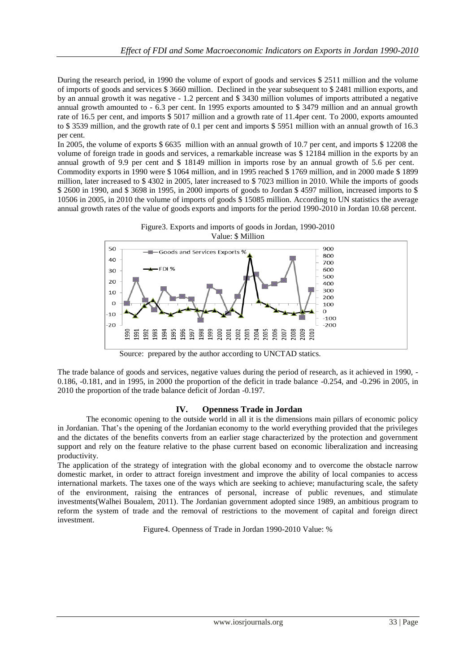During the research period, in 1990 the volume of export of goods and services \$ 2511 million and the volume of imports of goods and services \$ 3660 million. Declined in the year subsequent to \$ 2481 million exports, and by an annual growth it was negative - 1.2 percent and \$ 3430 million volumes of imports attributed a negative annual growth amounted to - 6.3 per cent. In 1995 exports amounted to \$ 3479 million and an annual growth rate of 16.5 per cent, and imports \$ 5017 million and a growth rate of 11.4per cent. To 2000, exports amounted to \$ 3539 million, and the growth rate of 0.1 per cent and imports \$ 5951 million with an annual growth of 16.3 per cent.

In 2005, the volume of exports \$ 6635 million with an annual growth of 10.7 per cent, and imports \$ 12208 the volume of foreign trade in goods and services, a remarkable increase was \$ 12184 million in the exports by an annual growth of 9.9 per cent and \$ 18149 million in imports rose by an annual growth of 5.6 per cent. Commodity exports in 1990 were \$ 1064 million, and in 1995 reached \$ 1769 million, and in 2000 made \$ 1899 million, later increased to \$ 4302 in 2005, later increased to \$ 7023 million in 2010. While the imports of goods \$ 2600 in 1990, and \$ 3698 in 1995, in 2000 imports of goods to Jordan \$ 4597 million, increased imports to \$ 10506 in 2005, in 2010 the volume of imports of goods \$ 15085 million. According to UN statistics the average annual growth rates of the value of goods exports and imports for the period 1990-2010 in Jordan 10.68 percent.





Source: prepared by the author according to UNCTAD statics.

The trade balance of goods and services, negative values during the period of research, as it achieved in 1990, - 0.186, -0.181, and in 1995, in 2000 the proportion of the deficit in trade balance -0.254, and -0.296 in 2005, in 2010 the proportion of the trade balance deficit of Jordan -0.197.

#### **IV. Openness Trade in Jordan**

 The economic opening to the outside world in all it is the dimensions main pillars of economic policy in Jordanian. That's the opening of the Jordanian economy to the world everything provided that the privileges and the dictates of the benefits converts from an earlier stage characterized by the protection and government support and rely on the feature relative to the phase current based on economic liberalization and increasing productivity.

The application of the strategy of integration with the global economy and to overcome the obstacle narrow domestic market, in order to attract foreign investment and improve the ability of local companies to access international markets. The taxes one of the ways which are seeking to achieve; manufacturing scale, the safety of the environment, raising the entrances of personal, increase of public revenues, and stimulate investments(Walhei Boualem, 2011). The Jordanian government adopted since 1989, an ambitious program to reform the system of trade and the removal of restrictions to the movement of capital and foreign direct investment.

Figure4. Openness of Trade in Jordan 1990-2010 Value: %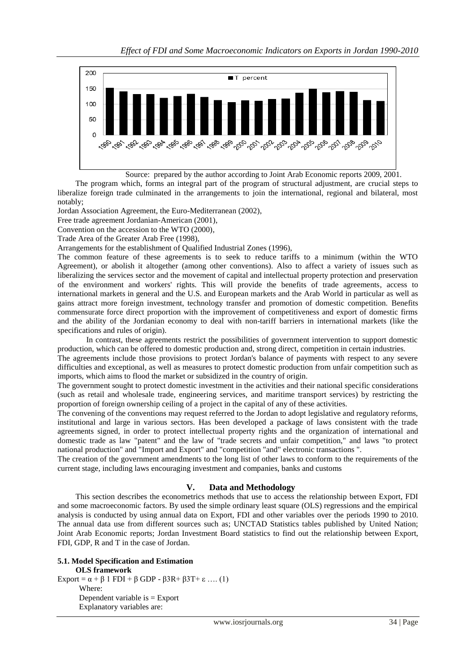

Source: prepared by the author according to Joint Arab Economic reports 2009, 2001.

 The program which, forms an integral part of the program of structural adjustment, are crucial steps to liberalize foreign trade culminated in the arrangements to join the international, regional and bilateral, most notably;

Jordan Association Agreement, the Euro-Mediterranean (2002),

Free trade agreement Jordanian-American (2001),

Convention on the accession to the WTO (2000),

Trade Area of the Greater Arab Free (1998),

Arrangements for the establishment of Qualified Industrial Zones (1996),

The common feature of these agreements is to seek to reduce tariffs to a minimum (within the WTO Agreement), or abolish it altogether (among other conventions). Also to affect a variety of issues such as liberalizing the services sector and the movement of capital and intellectual property protection and preservation of the environment and workers' rights. This will provide the benefits of trade agreements, access to international markets in general and the U.S. and European markets and the Arab World in particular as well as gains attract more foreign investment, technology transfer and promotion of domestic competition. Benefits commensurate force direct proportion with the improvement of competitiveness and export of domestic firms and the ability of the Jordanian economy to deal with non-tariff barriers in international markets (like the specifications and rules of origin).

In contrast, these agreements restrict the possibilities of government intervention to support domestic production, which can be offered to domestic production and, strong direct, competition in certain industries.

The agreements include those provisions to protect Jordan's balance of payments with respect to any severe difficulties and exceptional, as well as measures to protect domestic production from unfair competition such as imports, which aims to flood the market or subsidized in the country of origin.

The government sought to protect domestic investment in the activities and their national specific considerations (such as retail and wholesale trade, engineering services, and maritime transport services) by restricting the proportion of foreign ownership ceiling of a project in the capital of any of these activities.

The convening of the conventions may request referred to the Jordan to adopt legislative and regulatory reforms, institutional and large in various sectors. Has been developed a package of laws consistent with the trade agreements signed, in order to protect intellectual property rights and the organization of international and domestic trade as law "patent" and the law of "trade secrets and unfair competition," and laws "to protect national production" and "Import and Export" and "competition "and" electronic transactions ".

The creation of the government amendments to the long list of other laws to conform to the requirements of the current stage, including laws encouraging investment and companies, banks and customs

#### **V. Data and Methodology**

 This section describes the econometrics methods that use to access the relationship between Export, FDI and some macroeconomic factors. By used the simple ordinary least square (OLS) regressions and the empirical analysis is conducted by using annual data on Export, FDI and other variables over the periods 1990 to 2010. The annual data use from different sources such as; UNCTAD Statistics tables published by United Nation; Joint Arab Economic reports; Jordan Investment Board statistics to find out the relationship between Export, FDI, GDP, R and T in the case of Jordan.

#### **5.1. Model Specification and Estimation OLS framework**

Export =  $\alpha + \beta$  1 FDI +  $\beta$  GDP -  $\beta$ 3R+  $\beta$ 3T+  $\varepsilon$  .... (1) Where: Dependent variable is  $=$  Export Explanatory variables are: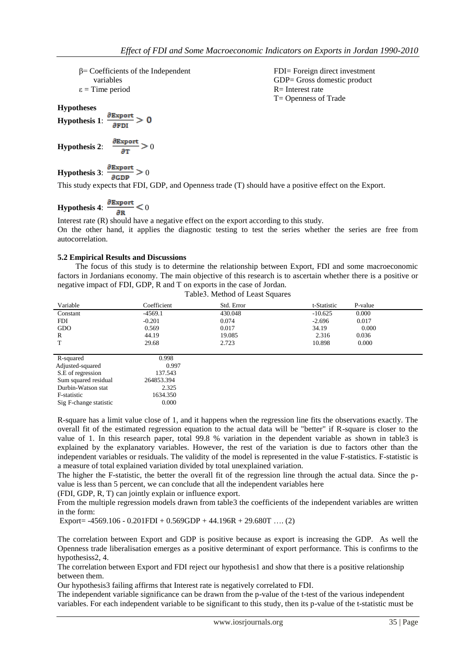β= Coefficients of the Independent variables

 $\varepsilon$  = Time period

**Hypotheses**

**Hypothesis 1**:  $\frac{\partial \text{Export}}{\partial \text{FDI}} > 0$ 

**Hypothesis 2:**  $\frac{\partial \text{Export}}{\partial \text{T}} > 0$ 

**Hypothesis 3**:  $\frac{\partial \text{Export}}{\partial \text{GDP}} > 0$ 

This study expects that FDI, GDP, and Openness trade (T) should have a positive effect on the Export.

# **Hypothesis 4:**  $\frac{\partial \text{Export}}{\partial R} < 0$

Interest rate (R) should have a negative effect on the export according to this study. On the other hand, it applies the diagnostic testing to test the series whether the series are free from autocorrelation.

#### **5.2 Empirical Results and Discussions**

 The focus of this study is to determine the relationship between Export, FDI and some macroeconomic factors in Jordanians economy. The main objective of this research is to ascertain whether there is a positive or negative impact of FDI, GDP, R and T on exports in the case of Jordan. Table3. Method of Least Squares

| Variable             | Coefficient | Std. Error | t-Statistic | P-value |  |
|----------------------|-------------|------------|-------------|---------|--|
| Constant             | $-4569.1$   | 430.048    | $-10.625$   | 0.000   |  |
| <b>FDI</b>           | $-0.201$    | 0.074      | $-2.696$    | 0.017   |  |
| GDO                  | 0.569       | 0.017      | 34.19       | 0.000   |  |
| $\mathbb{R}$         | 44.19       | 19.085     | 2.316       | 0.036   |  |
| T                    | 29.68       | 2.723      | 10.898      | 0.000   |  |
|                      |             |            |             |         |  |
| R-squared            | 0.998       |            |             |         |  |
| Adjusted-squared     | 0.997       |            |             |         |  |
| S.E of regression    | 137.543     |            |             |         |  |
| Sum squared residual | 264853.394  |            |             |         |  |
| Durbin-Watson stat   | 2.325       |            |             |         |  |
| <b>E-statistic</b>   | 1634 350    |            |             |         |  |

F-statistic

Sig F-change statistic

R-square has a limit value close of 1, and it happens when the regression line fits the observations exactly. The overall fit of the estimated regression equation to the actual data will be "better" if R-square is closer to the value of 1. In this research paper, total 99.8 % variation in the dependent variable as shown in table3 is explained by the explanatory variables. However, the rest of the variation is due to factors other than the independent variables or residuals. The validity of the model is represented in the value F-statistics. F-statistic is a measure of total explained variation divided by total unexplained variation.

The higher the F-statistic, the better the overall fit of the regression line through the actual data. Since the pvalue is less than 5 percent, we can conclude that all the independent variables here

(FDI, GDP, R, T) can jointly explain or influence export.

From the multiple regression models drawn from table3 the coefficients of the independent variables are written in the form:

Export=  $-4569.106 - 0.201$ FDI +  $0.569$ GDP +  $44.196R + 29.680T$  .... (2)

0.000

The correlation between Export and GDP is positive because as export is increasing the GDP. As well the Openness trade liberalisation emerges as a positive determinant of export performance. This is confirms to the hypothesiss2, 4.

The correlation between Export and FDI reject our hypothesis1 and show that there is a positive relationship between them.

Our hypothesis3 failing affirms that Interest rate is negatively correlated to FDI.

The independent variable significance can be drawn from the p-value of the t-test of the various independent variables. For each independent variable to be significant to this study, then its p-value of the t-statistic must be

FDI= Foreign direct investment GDP= Gross domestic product R= Interest rate T= Openness of Trade